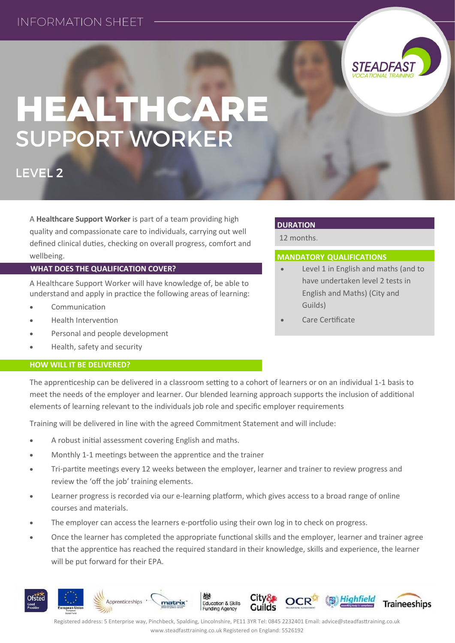

# HEALTHCARE **SUPPORT WORKER**

LEVEL<sub>2</sub>

A **Healthcare Support Worker** is part of a team providing high quality and compassionate care to individuals, carrying out well defined clinical duties, checking on overall progress, comfort and wellbeing.

## **WHAT DOES THE QUALIFICATION COVER?**

A Healthcare Support Worker will have knowledge of, be able to understand and apply in practice the following areas of learning:

- Communication
- Health Intervention
- Personal and people development
- Health, safety and security

## **HOW WILL IT BE DELIVERED?**

## **DURATION**

12 months.

## **MANDATORY QUALIFICATIONS**

- Level 1 in English and maths (and to have undertaken level 2 tests in English and Maths) (City and Guilds)
- Care Certificate

The apprenticeship can be delivered in a classroom setting to a cohort of learners or on an individual 1-1 basis to meet the needs of the employer and learner. Our blended learning approach supports the inclusion of additional elements of learning relevant to the individuals job role and specific employer requirements

Training will be delivered in line with the agreed Commitment Statement and will include:

- A robust initial assessment covering English and maths.
- Monthly 1-1 meetings between the apprentice and the trainer
- Tri-partite meetings every 12 weeks between the employer, learner and trainer to review progress and review the 'off the job' training elements.
- Learner progress is recorded via our e-learning platform, which gives access to a broad range of online courses and materials.
- The employer can access the learners e-portfolio using their own log in to check on progress.
- Once the learner has completed the appropriate functional skills and the employer, learner and trainer agree that the apprentice has reached the required standard in their knowledge, skills and experience, the learner will be put forward for their EPA.



Registered address: 5 Enterprise way, Pinchbeck, Spalding, Lincolnshire, PE11 3YR Tel: 0845 2232401 Email: advice@steadfasttraining.co.uk www.steadfasttraining.co.uk Registered on England: 5526192